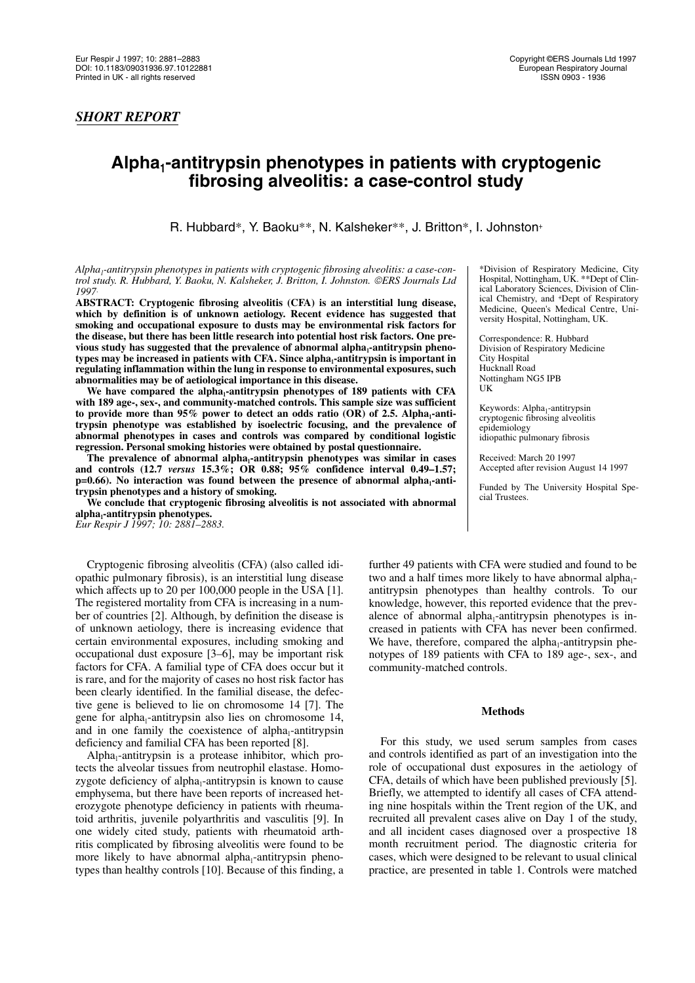# Alpha<sub>1</sub>-antitrypsin phenotypes in patients with cryptogenic **fibrosing alveolitis: a case-control study**

R. Hubbard\*, Y. Baoku\*\*, N. Kalsheker\*\*, J. Britton\*, I. Johnston<sup>+</sup>

Alpha<sub>1</sub>-antitrypsin phenotypes in patients with cryptogenic fibrosing alveolitis: a case-con*trol study. R. Hubbard, Y. Baoku, N. Kalsheker, J. Britton, I. Johnston. ERS Journals Ltd 1997*.

**ABSTRACT: Cryptogenic fibrosing alveolitis (CFA) is an interstitial lung disease, which by definition is of unknown aetiology. Recent evidence has suggested that smoking and occupational exposure to dusts may be environmental risk factors for the disease, but there has been little research into potential host risk factors. One pre**vious study has suggested that the prevalence of abnormal alpha<sub>1</sub>-antitrypsin phenotypes may be increased in patients with CFA. Since alpha<sub>1</sub>-antitrypsin is important in **regulating inflammation within the lung in response to environmental exposures, such abnormalities may be of aetiological importance in this disease.**

We have compared the alpha<sub>1</sub>-antitrypsin phenotypes of 189 patients with CFA **with 189 age-, sex-, and community-matched controls. This sample size was sufficient** to provide more than 95% power to detect an odds ratio (OR) of 2.5. Alpha<sub>1</sub>-anti**trypsin phenotype was established by isoelectric focusing, and the prevalence of abnormal phenotypes in cases and controls was compared by conditional logistic regression. Personal smoking histories were obtained by postal questionnaire.**

The prevalence of abnormal alpha<sub>1</sub>-antitrypsin phenotypes was similar in cases **and controls (12.7** *versus* **15.3%; OR 0.88; 95% confidence interval 0.49–1.57;**  $p=0.66$ ). No interaction was found between the presence of abnormal alpha<sub>1</sub>-anti**trypsin phenotypes and a history of smoking.**

**We conclude that cryptogenic fibrosing alveolitis is not associated with abnormal** alpha<sub>1</sub>-antitrypsin phenotypes.

*Eur Respir J 1997; 10: 2881–2883.*

Cryptogenic fibrosing alveolitis (CFA) (also called idiopathic pulmonary fibrosis), is an interstitial lung disease which affects up to 20 per 100,000 people in the USA [1]. The registered mortality from CFA is increasing in a number of countries [2]. Although, by definition the disease is of unknown aetiology, there is increasing evidence that certain environmental exposures, including smoking and occupational dust exposure [3–6], may be important risk factors for CFA. A familial type of CFA does occur but it is rare, and for the majority of cases no host risk factor has been clearly identified. In the familial disease, the defective gene is believed to lie on chromosome 14 [7]. The gene for alpha<sub>1</sub>-antitrypsin also lies on chromosome  $14$ , and in one family the coexistence of alpha $_1$ -antitrypsin deficiency and familial CFA has been reported [8].

Alpha<sub>1</sub>-antitrypsin is a protease inhibitor, which protects the alveolar tissues from neutrophil elastase. Homozygote deficiency of alpha $_1$ -antitrypsin is known to cause emphysema, but there have been reports of increased heterozygote phenotype deficiency in patients with rheumatoid arthritis, juvenile polyarthritis and vasculitis [9]. In one widely cited study, patients with rheumatoid arthritis complicated by fibrosing alveolitis were found to be more likely to have abnormal alpha<sub>1</sub>-antitrypsin phenotypes than healthy controls [10]. Because of this finding, a

\*Division of Respiratory Medicine, City Hospital, Nottingham, UK. \*\*Dept of Clinical Laboratory Sciences, Division of Clinical Chemistry, and +Dept of Respiratory Medicine, Queen's Medical Centre, University Hospital, Nottingham, UK.

Correspondence: R. Hubbard Division of Respiratory Medicine City Hospital Hucknall Road Nottingham NG5 IPB UK

Keywords: Alpha<sub>1</sub>-antitrypsin cryptogenic fibrosing alveolitis epidemiology idiopathic pulmonary fibrosis

Received: March 20 1997 Accepted after revision August 14 1997

Funded by The University Hospital Special Trustees.

further 49 patients with CFA were studied and found to be two and a half times more likely to have abnormal alpha<sub>1</sub>antitrypsin phenotypes than healthy controls. To our knowledge, however, this reported evidence that the prevalence of abnormal alpha<sub>1</sub>-antitrypsin phenotypes is increased in patients with CFA has never been confirmed. We have, therefore, compared the alpha<sub>1</sub>-antitrypsin phenotypes of 189 patients with CFA to 189 age-, sex-, and community-matched controls.

## **Methods**

For this study, we used serum samples from cases and controls identified as part of an investigation into the role of occupational dust exposures in the aetiology of CFA, details of which have been published previously [5]. Briefly, we attempted to identify all cases of CFA attending nine hospitals within the Trent region of the UK, and recruited all prevalent cases alive on Day 1 of the study, and all incident cases diagnosed over a prospective 18 month recruitment period. The diagnostic criteria for cases, which were designed to be relevant to usual clinical practice, are presented in table 1. Controls were matched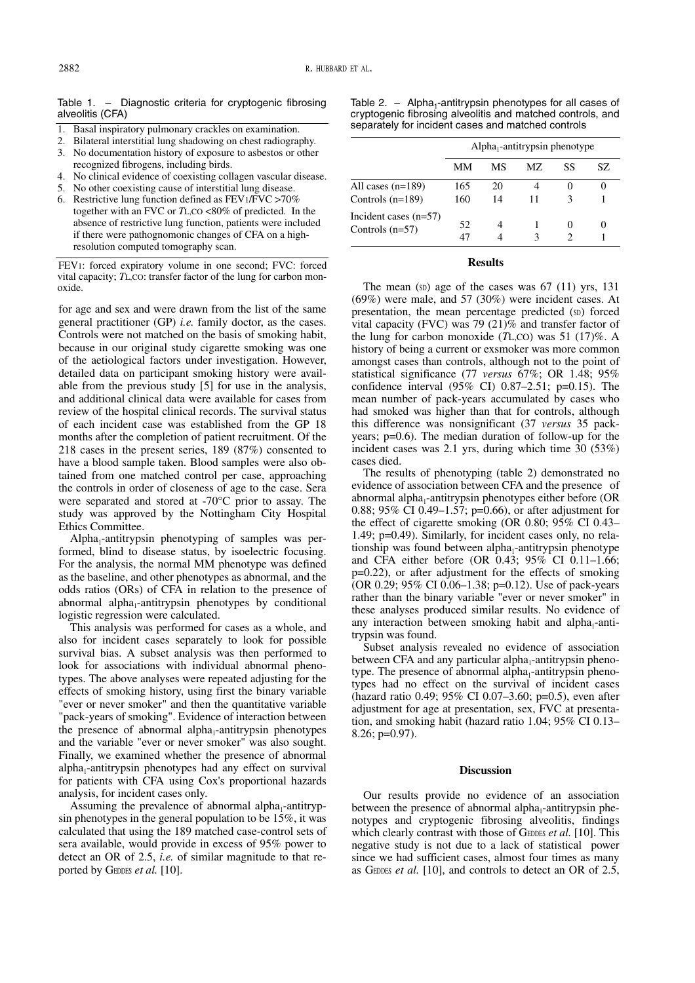Table 1. – Diagnostic criteria for cryptogenic fibrosing alveolitis (CFA)

- 1. Basal inspiratory pulmonary crackles on examination.
- 2. Bilateral interstitial lung shadowing on chest radiography.
- 3. No documentation history of exposure to asbestos or other recognized fibrogens, including birds.
- 4. No clinical evidence of coexisting collagen vascular disease.
- 5. No other coexisting cause of interstitial lung disease.
- 6. Restrictive lung function defined as FEV1/FVC >70% together with an FVC or *T*L,CO <80% of predicted. In the absence of restrictive lung function, patients were included if there were pathognomonic changes of CFA on a highresolution computed tomography scan.

FEV1: forced expiratory volume in one second; FVC: forced vital capacity; *T*L,CO: transfer factor of the lung for carbon monoxide.

for age and sex and were drawn from the list of the same general practitioner (GP) *i.e.* family doctor, as the cases. Controls were not matched on the basis of smoking habit, because in our original study cigarette smoking was one of the aetiological factors under investigation. However, detailed data on participant smoking history were available from the previous study [5] for use in the analysis, and additional clinical data were available for cases from review of the hospital clinical records. The survival status of each incident case was established from the GP 18 months after the completion of patient recruitment. Of the 218 cases in the present series, 189 (87%) consented to have a blood sample taken. Blood samples were also obtained from one matched control per case, approaching the controls in order of closeness of age to the case. Sera were separated and stored at -70°C prior to assay. The study was approved by the Nottingham City Hospital Ethics Committee.

 $Alpha_1$ -antitrypsin phenotyping of samples was performed, blind to disease status, by isoelectric focusing. For the analysis, the normal MM phenotype was defined as the baseline, and other phenotypes as abnormal, and the odds ratios (ORs) of CFA in relation to the presence of abnormal alpha<sub>1</sub>-antitrypsin phenotypes by conditional logistic regression were calculated.

This analysis was performed for cases as a whole, and also for incident cases separately to look for possible survival bias. A subset analysis was then performed to look for associations with individual abnormal phenotypes. The above analyses were repeated adjusting for the effects of smoking history, using first the binary variable "ever or never smoker" and then the quantitative variable "pack-years of smoking". Evidence of interaction between the presence of abnormal alpha $_1$ -antitrypsin phenotypes and the variable "ever or never smoker" was also sought. Finally, we examined whether the presence of abnormal  $alpha_1$ -antitrypsin phenotypes had any effect on survival for patients with CFA using Cox's proportional hazards analysis, for incident cases only.

Assuming the prevalence of abnormal alpha<sub>1</sub>-antitrypsin phenotypes in the general population to be 15%, it was calculated that using the 189 matched case-control sets of sera available, would provide in excess of 95% power to detect an OR of 2.5, *i.e.* of similar magnitude to that reported by GEDDES *et al.* [10].

Table 2. – Alpha<sub>1</sub>-antitrypsin phenotypes for all cases of cryptogenic fibrosing alveolitis and matched controls, and separately for incident cases and matched controls

|                                              | $Alpha_1$ -antitrypsin phenotype |          |     |    |          |
|----------------------------------------------|----------------------------------|----------|-----|----|----------|
|                                              | MМ                               | МS       | MZ. | SS | SZ       |
| All cases $(n=189)$<br>Controls $(n=189)$    | 165<br>160                       | 20<br>14 | 11  | З  | 0        |
| Incident cases $(n=57)$<br>Controls $(n=57)$ | 52<br>47                         | 4        |     |    | $\theta$ |

### **Results**

The mean  $(s_D)$  age of the cases was  $67$   $(11)$  yrs,  $131$ (69%) were male, and 57 (30%) were incident cases. At presentation, the mean percentage predicted (SD) forced vital capacity (FVC) was 79 (21)% and transfer factor of the lung for carbon monoxide (*T*L,CO) was 51 (17)%. A history of being a current or exsmoker was more common amongst cases than controls, although not to the point of statistical significance (77 *versus* 67%; OR 1.48; 95% confidence interval (95% CI) 0.87–2.51; p=0.15). The mean number of pack-years accumulated by cases who had smoked was higher than that for controls, although this difference was nonsignificant (37 *versus* 35 packyears; p=0.6). The median duration of follow-up for the incident cases was 2.1 yrs, during which time 30 (53%) cases died.

The results of phenotyping (table 2) demonstrated no evidence of association between CFA and the presence of abnormal alpha<sub>1</sub>-antitrypsin phenotypes either before (OR 0.88; 95% CI 0.49–1.57; p=0.66), or after adjustment for the effect of cigarette smoking (OR 0.80; 95% CI 0.43– 1.49; p=0.49). Similarly, for incident cases only, no relationship was found between alpha<sub>1</sub>-antitrypsin phenotype and CFA either before (OR 0.43; 95% CI 0.11–1.66; p=0.22), or after adjustment for the effects of smoking (OR 0.29; 95% CI 0.06–1.38; p=0.12). Use of pack-years rather than the binary variable "ever or never smoker" in these analyses produced similar results. No evidence of any interaction between smoking habit and alpha $_1$ -antitrypsin was found.

Subset analysis revealed no evidence of association between CFA and any particular alpha $_1$ -antitrypsin phenotype. The presence of abnormal alpha<sub>1</sub>-antitrypsin phenotypes had no effect on the survival of incident cases (hazard ratio 0.49; 95% CI 0.07–3.60; p=0.5), even after adjustment for age at presentation, sex, FVC at presentation, and smoking habit (hazard ratio 1.04; 95% CI 0.13– 8.26; p=0.97).

#### **Discussion**

Our results provide no evidence of an association between the presence of abnormal alpha<sub>1</sub>-antitrypsin phenotypes and cryptogenic fibrosing alveolitis, findings which clearly contrast with those of GEDDES *et al.* [10]. This negative study is not due to a lack of statistical power since we had sufficient cases, almost four times as many as GEDDES *et al.* [10], and controls to detect an OR of 2.5,